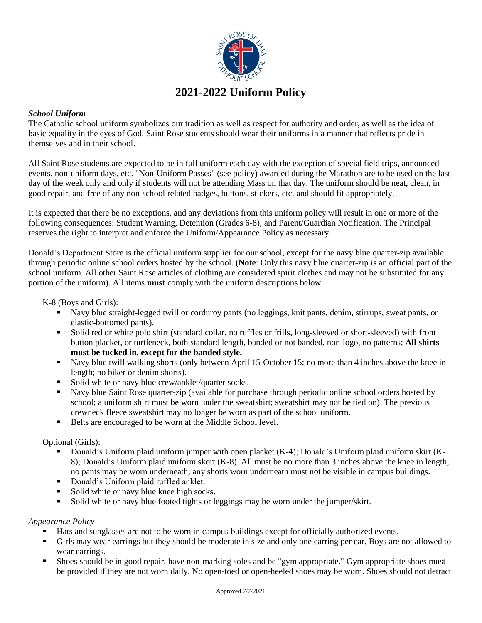

## *School Uniform*

The Catholic school uniform symbolizes our tradition as well as respect for authority and order, as well as the idea of basic equality in the eyes of God. Saint Rose students should wear their uniforms in a manner that reflects pride in themselves and in their school.

All Saint Rose students are expected to be in full uniform each day with the exception of special field trips, announced events, non-uniform days, etc. "Non-Uniform Passes" (see policy) awarded during the Marathon are to be used on the last day of the week only and only if students will not be attending Mass on that day. The uniform should be neat, clean, in good repair, and free of any non-school related badges, buttons, stickers, etc. and should fit appropriately.

It is expected that there be no exceptions, and any deviations from this uniform policy will result in one or more of the following consequences: Student Warning, Detention (Grades 6-8), and Parent/Guardian Notification. The Principal reserves the right to interpret and enforce the Uniform/Appearance Policy as necessary.

Donald's Department Store is the official uniform supplier for our school, except for the navy blue quarter-zip available through periodic online school orders hosted by the school. (**Note**: Only this navy blue quarter-zip is an official part of the school uniform. All other Saint Rose articles of clothing are considered spirit clothes and may not be substituted for any portion of the uniform). All items **must** comply with the uniform descriptions below.

K-8 (Boys and Girls):

- Navy blue straight-legged twill or corduroy pants (no leggings, knit pants, denim, stirrups, sweat pants, or elastic-bottomed pants).
- Solid red or white polo shirt (standard collar, no ruffles or frills, long-sleeved or short-sleeved) with front button placket, or turtleneck, both standard length, banded or not banded, non-logo, no patterns; **All shirts must be tucked in, except for the banded style.**
- Navy blue twill walking shorts (only between April 15-October 15; no more than 4 inches above the knee in length; no biker or denim shorts).
- Solid white or navy blue crew/anklet/quarter socks.
- Navy blue Saint Rose quarter-zip (available for purchase through periodic online school orders hosted by school; a uniform shirt must be worn under the sweatshirt; sweatshirt may not be tied on). The previous crewneck fleece sweatshirt may no longer be worn as part of the school uniform.
- Belts are encouraged to be worn at the Middle School level.

Optional (Girls):

- Donald's Uniform plaid uniform jumper with open placket (K-4); Donald's Uniform plaid uniform skirt (K-8); Donald's Uniform plaid uniform skort (K-8). All must be no more than 3 inches above the knee in length; no pants may be worn underneath; any shorts worn underneath must not be visible in campus buildings.
- Donald's Uniform plaid ruffled anklet.
- Solid white or navy blue knee high socks.
- Solid white or navy blue footed tights or leggings may be worn under the jumper/skirt.

## *Appearance Policy*

- Hats and sunglasses are not to be worn in campus buildings except for officially authorized events.
- Girls may wear earrings but they should be moderate in size and only one earring per ear. Boys are not allowed to wear earrings.
- Shoes should be in good repair, have non-marking soles and be "gym appropriate." Gym appropriate shoes must be provided if they are not worn daily. No open-toed or open-heeled shoes may be worn. Shoes should not detract